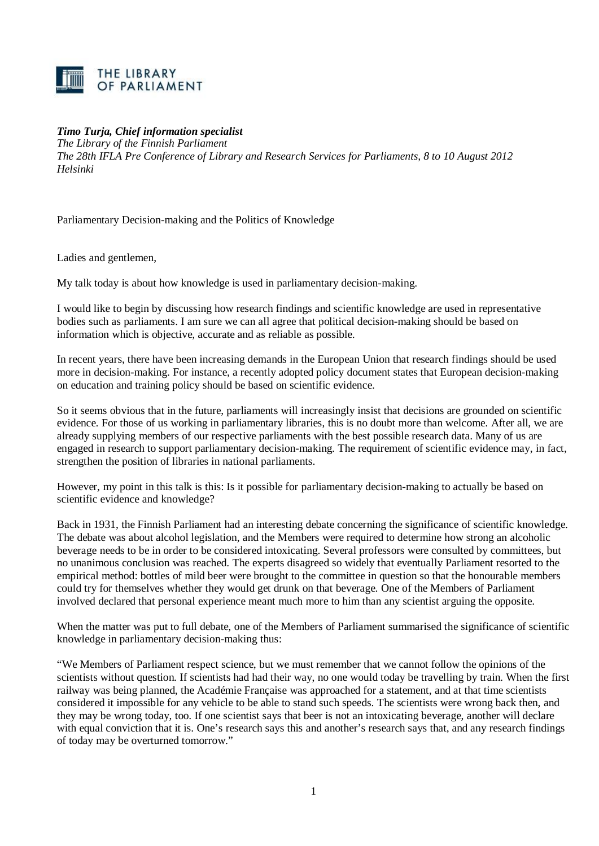

*Timo Turja, Chief information specialist* 

*The Library of the Finnish Parliament*

*The 28th IFLA Pre Conference of Library and Research Services for Parliaments, 8 to 10 August 2012 Helsinki*

Parliamentary Decision-making and the Politics of Knowledge

Ladies and gentlemen,

My talk today is about how knowledge is used in parliamentary decision-making.

I would like to begin by discussing how research findings and scientific knowledge are used in representative bodies such as parliaments. I am sure we can all agree that political decision-making should be based on information which is objective, accurate and as reliable as possible.

In recent years, there have been increasing demands in the European Union that research findings should be used more in decision-making. For instance, a recently adopted policy document states that European decision-making on education and training policy should be based on scientific evidence.

So it seems obvious that in the future, parliaments will increasingly insist that decisions are grounded on scientific evidence. For those of us working in parliamentary libraries, this is no doubt more than welcome. After all, we are already supplying members of our respective parliaments with the best possible research data. Many of us are engaged in research to support parliamentary decision-making. The requirement of scientific evidence may, in fact, strengthen the position of libraries in national parliaments.

However, my point in this talk is this: Is it possible for parliamentary decision-making to actually be based on scientific evidence and knowledge?

Back in 1931, the Finnish Parliament had an interesting debate concerning the significance of scientific knowledge. The debate was about alcohol legislation, and the Members were required to determine how strong an alcoholic beverage needs to be in order to be considered intoxicating. Several professors were consulted by committees, but no unanimous conclusion was reached. The experts disagreed so widely that eventually Parliament resorted to the empirical method: bottles of mild beer were brought to the committee in question so that the honourable members could try for themselves whether they would get drunk on that beverage. One of the Members of Parliament involved declared that personal experience meant much more to him than any scientist arguing the opposite.

When the matter was put to full debate, one of the Members of Parliament summarised the significance of scientific knowledge in parliamentary decision-making thus:

"We Members of Parliament respect science, but we must remember that we cannot follow the opinions of the scientists without question. If scientists had had their way, no one would today be travelling by train. When the first railway was being planned, the Académie Française was approached for a statement, and at that time scientists considered it impossible for any vehicle to be able to stand such speeds. The scientists were wrong back then, and they may be wrong today, too. If one scientist says that beer is not an intoxicating beverage, another will declare with equal conviction that it is. One's research says this and another's research says that, and any research findings of today may be overturned tomorrow."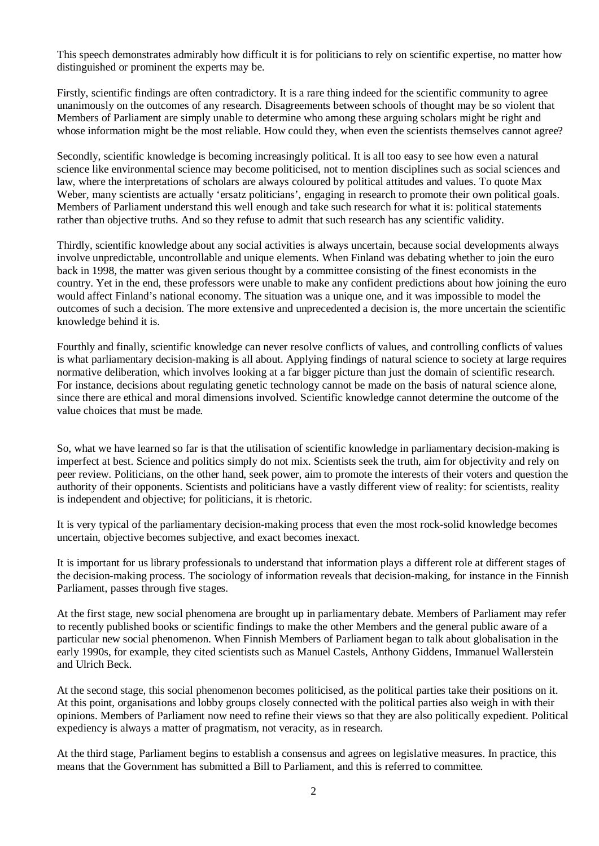This speech demonstrates admirably how difficult it is for politicians to rely on scientific expertise, no matter how distinguished or prominent the experts may be.

Firstly, scientific findings are often contradictory. It is a rare thing indeed for the scientific community to agree unanimously on the outcomes of any research. Disagreements between schools of thought may be so violent that Members of Parliament are simply unable to determine who among these arguing scholars might be right and whose information might be the most reliable. How could they, when even the scientists themselves cannot agree?

Secondly, scientific knowledge is becoming increasingly political. It is all too easy to see how even a natural science like environmental science may become politicised, not to mention disciplines such as social sciences and law, where the interpretations of scholars are always coloured by political attitudes and values. To quote Max Weber, many scientists are actually 'ersatz politicians', engaging in research to promote their own political goals. Members of Parliament understand this well enough and take such research for what it is: political statements rather than objective truths. And so they refuse to admit that such research has any scientific validity.

Thirdly, scientific knowledge about any social activities is always uncertain, because social developments always involve unpredictable, uncontrollable and unique elements. When Finland was debating whether to join the euro back in 1998, the matter was given serious thought by a committee consisting of the finest economists in the country. Yet in the end, these professors were unable to make any confident predictions about how joining the euro would affect Finland's national economy. The situation was a unique one, and it was impossible to model the outcomes of such a decision. The more extensive and unprecedented a decision is, the more uncertain the scientific knowledge behind it is.

Fourthly and finally, scientific knowledge can never resolve conflicts of values, and controlling conflicts of values is what parliamentary decision-making is all about. Applying findings of natural science to society at large requires normative deliberation, which involves looking at a far bigger picture than just the domain of scientific research. For instance, decisions about regulating genetic technology cannot be made on the basis of natural science alone, since there are ethical and moral dimensions involved. Scientific knowledge cannot determine the outcome of the value choices that must be made.

So, what we have learned so far is that the utilisation of scientific knowledge in parliamentary decision-making is imperfect at best. Science and politics simply do not mix. Scientists seek the truth, aim for objectivity and rely on peer review. Politicians, on the other hand, seek power, aim to promote the interests of their voters and question the authority of their opponents. Scientists and politicians have a vastly different view of reality: for scientists, reality is independent and objective; for politicians, it is rhetoric.

It is very typical of the parliamentary decision-making process that even the most rock-solid knowledge becomes uncertain, objective becomes subjective, and exact becomes inexact.

It is important for us library professionals to understand that information plays a different role at different stages of the decision-making process. The sociology of information reveals that decision-making, for instance in the Finnish Parliament, passes through five stages.

At the first stage, new social phenomena are brought up in parliamentary debate. Members of Parliament may refer to recently published books or scientific findings to make the other Members and the general public aware of a particular new social phenomenon. When Finnish Members of Parliament began to talk about globalisation in the early 1990s, for example, they cited scientists such as Manuel Castels, Anthony Giddens, Immanuel Wallerstein and Ulrich Beck.

At the second stage, this social phenomenon becomes politicised, as the political parties take their positions on it. At this point, organisations and lobby groups closely connected with the political parties also weigh in with their opinions. Members of Parliament now need to refine their views so that they are also politically expedient. Political expediency is always a matter of pragmatism, not veracity, as in research.

At the third stage, Parliament begins to establish a consensus and agrees on legislative measures. In practice, this means that the Government has submitted a Bill to Parliament, and this is referred to committee.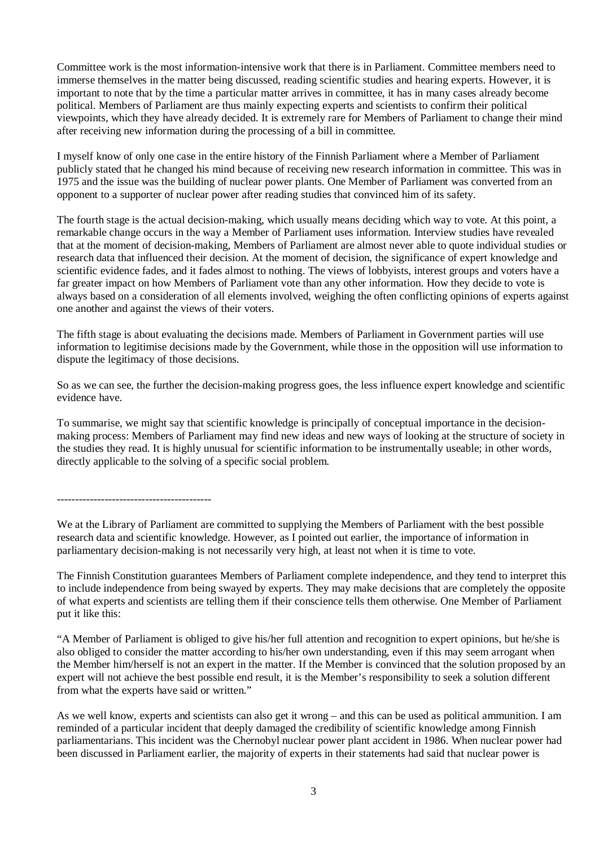Committee work is the most information-intensive work that there is in Parliament. Committee members need to immerse themselves in the matter being discussed, reading scientific studies and hearing experts. However, it is important to note that by the time a particular matter arrives in committee, it has in many cases already become political. Members of Parliament are thus mainly expecting experts and scientists to confirm their political viewpoints, which they have already decided. It is extremely rare for Members of Parliament to change their mind after receiving new information during the processing of a bill in committee.

I myself know of only one case in the entire history of the Finnish Parliament where a Member of Parliament publicly stated that he changed his mind because of receiving new research information in committee. This was in 1975 and the issue was the building of nuclear power plants. One Member of Parliament was converted from an opponent to a supporter of nuclear power after reading studies that convinced him of its safety.

The fourth stage is the actual decision-making, which usually means deciding which way to vote. At this point, a remarkable change occurs in the way a Member of Parliament uses information. Interview studies have revealed that at the moment of decision-making, Members of Parliament are almost never able to quote individual studies or research data that influenced their decision. At the moment of decision, the significance of expert knowledge and scientific evidence fades, and it fades almost to nothing. The views of lobbyists, interest groups and voters have a far greater impact on how Members of Parliament vote than any other information. How they decide to vote is always based on a consideration of all elements involved, weighing the often conflicting opinions of experts against one another and against the views of their voters.

The fifth stage is about evaluating the decisions made. Members of Parliament in Government parties will use information to legitimise decisions made by the Government, while those in the opposition will use information to dispute the legitimacy of those decisions.

So as we can see, the further the decision-making progress goes, the less influence expert knowledge and scientific evidence have.

To summarise, we might say that scientific knowledge is principally of conceptual importance in the decisionmaking process: Members of Parliament may find new ideas and new ways of looking at the structure of society in the studies they read. It is highly unusual for scientific information to be instrumentally useable; in other words, directly applicable to the solving of a specific social problem.

------------------------------------------

We at the Library of Parliament are committed to supplying the Members of Parliament with the best possible research data and scientific knowledge. However, as I pointed out earlier, the importance of information in parliamentary decision-making is not necessarily very high, at least not when it is time to vote.

The Finnish Constitution guarantees Members of Parliament complete independence, and they tend to interpret this to include independence from being swayed by experts. They may make decisions that are completely the opposite of what experts and scientists are telling them if their conscience tells them otherwise. One Member of Parliament put it like this:

"A Member of Parliament is obliged to give his/her full attention and recognition to expert opinions, but he/she is also obliged to consider the matter according to his/her own understanding, even if this may seem arrogant when the Member him/herself is not an expert in the matter. If the Member is convinced that the solution proposed by an expert will not achieve the best possible end result, it is the Member's responsibility to seek a solution different from what the experts have said or written."

As we well know, experts and scientists can also get it wrong – and this can be used as political ammunition. I am reminded of a particular incident that deeply damaged the credibility of scientific knowledge among Finnish parliamentarians. This incident was the Chernobyl nuclear power plant accident in 1986. When nuclear power had been discussed in Parliament earlier, the majority of experts in their statements had said that nuclear power is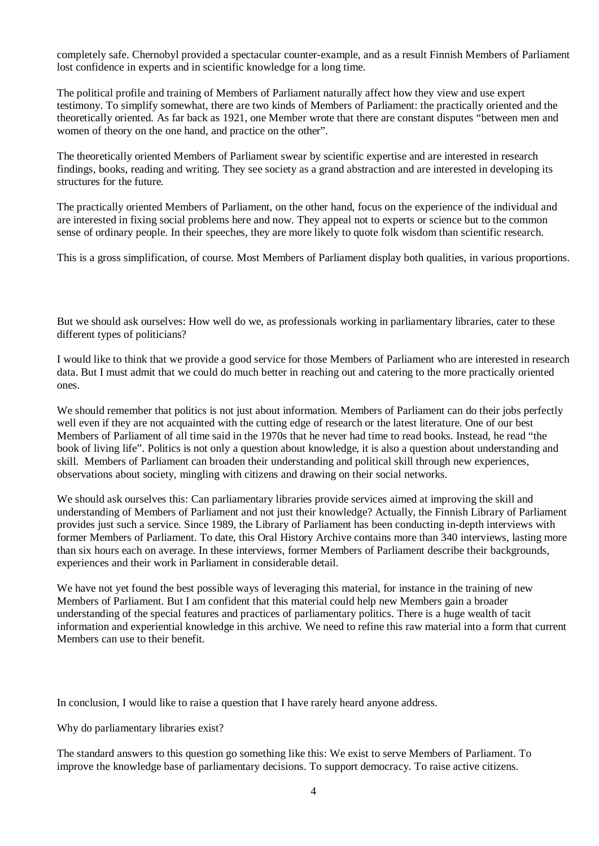completely safe. Chernobyl provided a spectacular counter-example, and as a result Finnish Members of Parliament lost confidence in experts and in scientific knowledge for a long time.

The political profile and training of Members of Parliament naturally affect how they view and use expert testimony. To simplify somewhat, there are two kinds of Members of Parliament: the practically oriented and the theoretically oriented. As far back as 1921, one Member wrote that there are constant disputes "between men and women of theory on the one hand, and practice on the other".

The theoretically oriented Members of Parliament swear by scientific expertise and are interested in research findings, books, reading and writing. They see society as a grand abstraction and are interested in developing its structures for the future.

The practically oriented Members of Parliament, on the other hand, focus on the experience of the individual and are interested in fixing social problems here and now. They appeal not to experts or science but to the common sense of ordinary people. In their speeches, they are more likely to quote folk wisdom than scientific research.

This is a gross simplification, of course. Most Members of Parliament display both qualities, in various proportions.

But we should ask ourselves: How well do we, as professionals working in parliamentary libraries, cater to these different types of politicians?

I would like to think that we provide a good service for those Members of Parliament who are interested in research data. But I must admit that we could do much better in reaching out and catering to the more practically oriented ones.

We should remember that politics is not just about information. Members of Parliament can do their jobs perfectly well even if they are not acquainted with the cutting edge of research or the latest literature. One of our best Members of Parliament of all time said in the 1970s that he never had time to read books. Instead, he read "the book of living life". Politics is not only a question about knowledge, it is also a question about understanding and skill. Members of Parliament can broaden their understanding and political skill through new experiences, observations about society, mingling with citizens and drawing on their social networks.

We should ask ourselves this: Can parliamentary libraries provide services aimed at improving the skill and understanding of Members of Parliament and not just their knowledge? Actually, the Finnish Library of Parliament provides just such a service. Since 1989, the Library of Parliament has been conducting in-depth interviews with former Members of Parliament. To date, this Oral History Archive contains more than 340 interviews, lasting more than six hours each on average. In these interviews, former Members of Parliament describe their backgrounds, experiences and their work in Parliament in considerable detail.

We have not yet found the best possible ways of leveraging this material, for instance in the training of new Members of Parliament. But I am confident that this material could help new Members gain a broader understanding of the special features and practices of parliamentary politics. There is a huge wealth of tacit information and experiential knowledge in this archive. We need to refine this raw material into a form that current Members can use to their benefit.

In conclusion, I would like to raise a question that I have rarely heard anyone address.

Why do parliamentary libraries exist?

The standard answers to this question go something like this: We exist to serve Members of Parliament. To improve the knowledge base of parliamentary decisions. To support democracy. To raise active citizens.